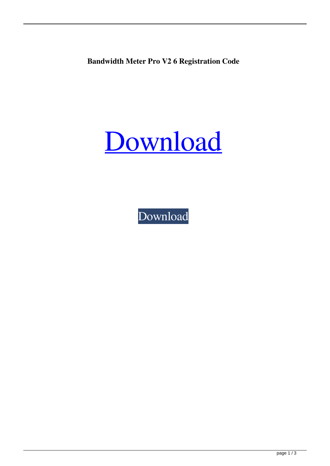**Bandwidth Meter Pro V2 6 Registration Code**

## [Download](http://evacdir.com/cold?interacting=QmFuZHdpZHRoIE1ldGVyIFBybyBWMiA2IFJlZ2lzdHJhdGlvbiBDb2RlQmF&kickstart=ZG93bmxvYWR8Q1QzTW5OdlpueDhNVFkxTWpjME1EZzJObng4TWpVM05IeDhLRTBwSUhKbFlXUXRZbXh2WnlCYlJtRnpkQ0JIUlU1ZA&jalapenos=posterity...)

[Download](http://evacdir.com/cold?interacting=QmFuZHdpZHRoIE1ldGVyIFBybyBWMiA2IFJlZ2lzdHJhdGlvbiBDb2RlQmF&kickstart=ZG93bmxvYWR8Q1QzTW5OdlpueDhNVFkxTWpjME1EZzJObng4TWpVM05IeDhLRTBwSUhKbFlXUXRZbXh2WnlCYlJtRnpkQ0JIUlU1ZA&jalapenos=posterity...)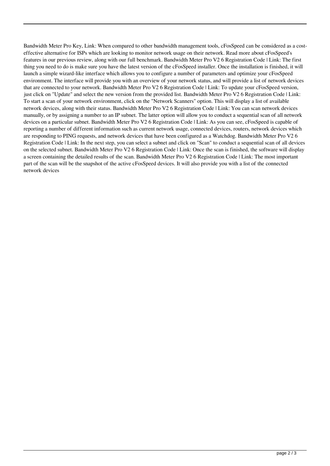Bandwidth Meter Pro Key, Link: When compared to other bandwidth management tools, cFosSpeed can be considered as a costeffective alternative for ISPs which are looking to monitor network usage on their network. Read more about cFosSpeed's features in our previous review, along with our full benchmark. Bandwidth Meter Pro V2 6 Registration Code | Link: The first thing you need to do is make sure you have the latest version of the cFosSpeed installer. Once the installation is finished, it will launch a simple wizard-like interface which allows you to configure a number of parameters and optimize your cFosSpeed environment. The interface will provide you with an overview of your network status, and will provide a list of network devices that are connected to your network. Bandwidth Meter Pro V2 6 Registration Code | Link: To update your cFosSpeed version, just click on "Update" and select the new version from the provided list. Bandwidth Meter Pro V2 6 Registration Code | Link: To start a scan of your network environment, click on the "Network Scanners" option. This will display a list of available network devices, along with their status. Bandwidth Meter Pro V2 6 Registration Code | Link: You can scan network devices manually, or by assigning a number to an IP subnet. The latter option will allow you to conduct a sequential scan of all network devices on a particular subnet. Bandwidth Meter Pro V2 6 Registration Code | Link: As you can see, cFosSpeed is capable of reporting a number of different information such as current network usage, connected devices, routers, network devices which are responding to PING requests, and network devices that have been configured as a Watchdog. Bandwidth Meter Pro V2 6 Registration Code | Link: In the next step, you can select a subnet and click on "Scan" to conduct a sequential scan of all devices on the selected subnet. Bandwidth Meter Pro V2 6 Registration Code | Link: Once the scan is finished, the software will display a screen containing the detailed results of the scan. Bandwidth Meter Pro V2 6 Registration Code | Link: The most important part of the scan will be the snapshot of the active cFosSpeed devices. It will also provide you with a list of the connected network devices